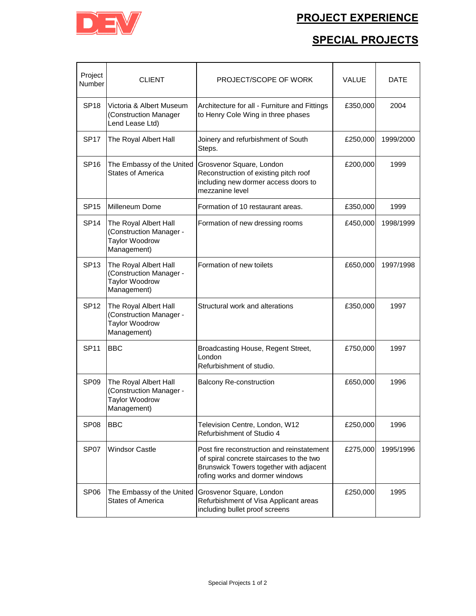## **PROJECT EXPERIENCE**



## **SPECIAL PROJECTS**

| Project<br>Number | <b>CLIENT</b>                                                                            | PROJECT/SCOPE OF WORK                                                                                                                                                | <b>VALUE</b> | DATE      |
|-------------------|------------------------------------------------------------------------------------------|----------------------------------------------------------------------------------------------------------------------------------------------------------------------|--------------|-----------|
| <b>SP18</b>       | Victoria & Albert Museum<br>(Construction Manager<br>Lend Lease Ltd)                     | Architecture for all - Furniture and Fittings<br>to Henry Cole Wing in three phases                                                                                  | £350,000     | 2004      |
| <b>SP17</b>       | The Royal Albert Hall                                                                    | Joinery and refurbishment of South<br>Steps.                                                                                                                         | £250,000     | 1999/2000 |
| <b>SP16</b>       | The Embassy of the United<br><b>States of America</b>                                    | Grosvenor Square, London<br>Reconstruction of existing pitch roof<br>including new dormer access doors to<br>mezzanine level                                         | £200,000     | 1999      |
| <b>SP15</b>       | Milleneum Dome                                                                           | Formation of 10 restaurant areas.                                                                                                                                    | £350,000     | 1999      |
| <b>SP14</b>       | The Royal Albert Hall<br>(Construction Manager -<br>Taylor Woodrow<br>Management)        | Formation of new dressing rooms                                                                                                                                      | £450,000     | 1998/1999 |
| <b>SP13</b>       | The Royal Albert Hall<br>(Construction Manager -<br><b>Taylor Woodrow</b><br>Management) | Formation of new toilets                                                                                                                                             | £650,000     | 1997/1998 |
| <b>SP12</b>       | The Royal Albert Hall<br>(Construction Manager -<br><b>Taylor Woodrow</b><br>Management) | Structural work and alterations                                                                                                                                      | £350,000     | 1997      |
| <b>SP11</b>       | <b>BBC</b>                                                                               | Broadcasting House, Regent Street,<br>London<br>Refurbishment of studio.                                                                                             | £750,000     | 1997      |
| SP <sub>09</sub>  | The Royal Albert Hall<br>(Construction Manager -<br>Taylor Woodrow<br>Management)        | <b>Balcony Re-construction</b>                                                                                                                                       | £650,000     | 1996      |
| SP <sub>08</sub>  | <b>BBC</b>                                                                               | Television Centre, London, W12<br>Refurbishment of Studio 4                                                                                                          | £250,000     | 1996      |
| SP <sub>07</sub>  | <b>Windsor Castle</b>                                                                    | Post fire reconstruction and reinstatement<br>of spiral concrete staircases to the two<br>Brunswick Towers together with adjacent<br>rofing works and dormer windows | £275,000     | 1995/1996 |
| SP <sub>06</sub>  | The Embassy of the United<br><b>States of America</b>                                    | Grosvenor Square, London<br>Refurbishment of Visa Applicant areas<br>including bullet proof screens                                                                  | £250,000     | 1995      |